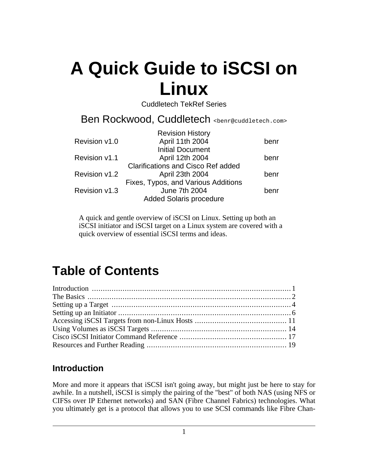Cuddletech TekRef Series

Ben Rockwood, Cuddletech <benr@cuddletech.com>

|               | <b>Revision History</b>             |      |
|---------------|-------------------------------------|------|
| Revision v1.0 | April 11th 2004                     | benr |
|               | <b>Initial Document</b>             |      |
| Revision v1.1 | April 12th 2004                     | benr |
|               | Clarifications and Cisco Ref added  |      |
| Revision v1.2 | April 23th 2004                     | benr |
|               | Fixes, Typos, and Various Additions |      |
| Revision v1.3 | June 7th 2004                       | benr |
|               | <b>Added Solaris procedure</b>      |      |
|               |                                     |      |

A quick and gentle overview of iSCSI on Linux. Setting up both an iSCSI initiator and iSCSI target on a Linux system are covered with a quick overview of essential iSCSI terms and ideas.

## **Table of Contents**

### <span id="page-0-0"></span>**Introduction**

More and more it appears that iSCSI isn't going away, but might just be here to stay for awhile. In a nutshell, iSCSI is simply the pairing of the "best" of both NAS (using NFS or CIFSs over IP Ethernet networks) and SAN (Fibre Channel Fabrics) technologies. What you ultimately get is a protocol that allows you to use SCSI commands like Fibre Chan-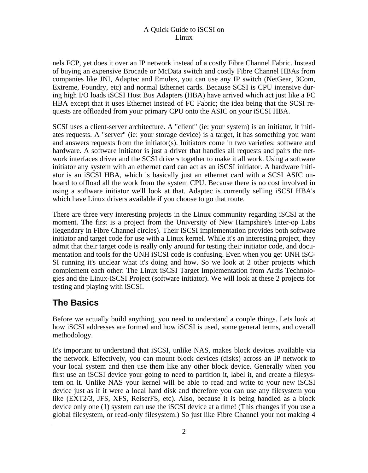nels FCP, yet does it over an IP network instead of a costly Fibre Channel Fabric. Instead of buying an expensive Brocade or McData switch and costly Fibre Channel HBAs from companies like JNI, Adaptec and Emulex, you can use any IP switch (NetGear, 3Com, Extreme, Foundry, etc) and normal Ethernet cards. Because SCSI is CPU intensive during high I/O loads iSCSI Host Bus Adapters (HBA) have arrived which act just like a FC HBA except that it uses Ethernet instead of FC Fabric; the idea being that the SCSI requests are offloaded from your primary CPU onto the ASIC on your iSCSI HBA.

SCSI uses a client-server architecture. A "client" (ie: your system) is an initiator, it initiates requests. A "server" (ie: your storage device) is a target, it has something you want and answers requests from the initiator(s). Initiators come in two varieties: software and hardware. A software initiator is just a driver that handles all requests and pairs the network interfaces driver and the SCSI drivers together to make it all work. Using a software initiator any system with an ethernet card can act as an iSCSI initiator. A hardware initiator is an iSCSI HBA, which is basically just an ethernet card with a SCSI ASIC onboard to offload all the work from the system CPU. Because there is no cost involved in using a software initiator we'll look at that. Adaptec is currently selling iSCSI HBA's which have Linux drivers available if you choose to go that route.

There are three very interesting projects in the Linux community regarding iSCSI at the moment. The first is a project from the University of New Hampshire's Inter-op Labs (legendary in Fibre Channel circles). Their iSCSI implementation provides both software initiator and target code for use with a Linux kernel. While it's an interesting project, they admit that their target code is really only around for testing their initiator code, and documentation and tools for the UNH iSCSI code is confusing. Even when you get UNH iSC-SI running it's unclear what it's doing and how. So we look at 2 other projects which complement each other: The Linux iSCSI Target Implementation from Ardis Technologies and the Linux-iSCSI Project (software initiator). We will look at these 2 projects for testing and playing with iSCSI.

### <span id="page-1-0"></span>**The Basics**

Before we actually build anything, you need to understand a couple things. Lets look at how iSCSI addresses are formed and how iSCSI is used, some general terms, and overall methodology.

It's important to understand that iSCSI, unlike NAS, makes block devices available via the network. Effectively, you can mount block devices (disks) across an IP network to your local system and then use them like any other block device. Generally when you first use an iSCSI device your going to need to partition it, label it, and create a filesystem on it. Unlike NAS your kernel will be able to read and write to your new iSCSI device just as if it were a local hard disk and therefore you can use any filesystem you like (EXT2/3, JFS, XFS, ReiserFS, etc). Also, because it is being handled as a block device only one (1) system can use the iSCSI device at a time! (This changes if you use a global filesystem, or read-only filesystem.) So just like Fibre Channel your not making 4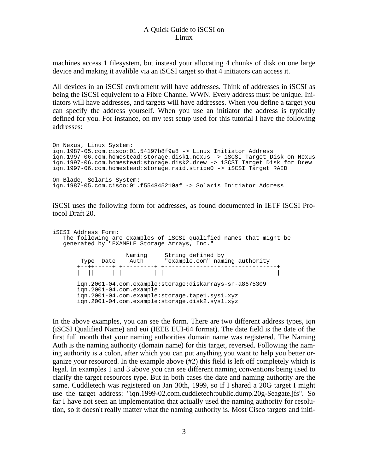machines access 1 filesystem, but instead your allocating 4 chunks of disk on one large device and making it avalible via an iSCSI target so that 4 initiators can access it.

All devices in an iSCSI enviroment will have addresses. Think of addresses in iSCSI as being the iSCSI equivelent to a Fibre Channel WWN. Every address must be unique. Initiators will have addresses, and targets will have addresses. When you define a target you can specify the address yourself. When you use an initiator the address is typically defined for you. For instance, on my test setup used for this tutorial I have the following addresses:

On Nexus, Linux System: iqn.1987-05.com.cisco:01.54197b8f9a8 -> Linux Initiator Address iqn.1997-06.com.homestead:storage.disk1.nexus -> iSCSI Target Disk on Nexus iqn.1997-06.com.homestead:storage.disk2.drew -> iSCSI Target Disk for Drew iqn.1997-06.com.homestead:storage.raid.stripe0 -> iSCSI Target RAID On Blade, Solaris System: iqn.1987-05.com.cisco:01.f554845210af -> Solaris Initiator Address

iSCSI uses the following form for addresses, as found documented in IETF iSCSI Protocol Draft 20.

```
iSCSI Address Form:
  The following are examples of iSCSI qualified names that might be
  generated by "EXAMPLE Storage Arrays, Inc."
        Naming String defined by
Type Date Auth "example.com" naming authority
        +--++-----+ +---------+ +--------------------------------+
       | || | | | | |
       iqn.2001-04.com.example:storage:diskarrays-sn-a8675309
       iqn.2001-04.com.example
       iqn.2001-04.com.example:storage.tape1.sys1.xyz
       iqn.2001-04.com.example:storage.disk2.sys1.xyz
```
In the above examples, you can see the form. There are two different address types, iqn (iSCSI Qualified Name) and eui (IEEE EUI-64 format). The date field is the date of the first full month that your naming authorities domain name was registered. The Naming Auth is the naming authority (domain name) for this target, reversed. Following the naming authority is a colon, after which you can put anything you want to help you better organize your resourced. In the example above (#2) this field is left off completely which is legal. In examples 1 and 3 above you can see different naming conventions being used to clarify the target resources type. But in both cases the date and naming authority are the same. Cuddletech was registered on Jan 30th, 1999, so if I shared a 20G target I might use the target address: "iqn.1999-02.com.cuddletech:public.dump.20g-Seagate.jfs". So far I have not seen an implementation that actually used the naming authority for resolution, so it doesn't really matter what the naming authority is. Most Cisco targets and initi-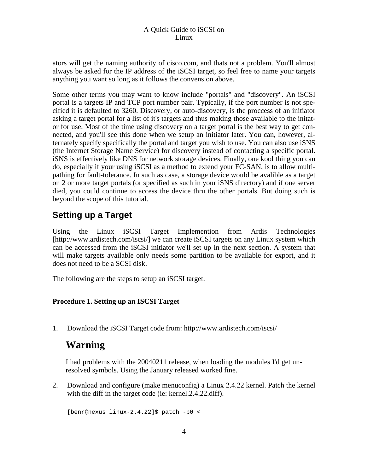ators will get the naming authority of cisco.com, and thats not a problem. You'll almost always be asked for the IP address of the iSCSI target, so feel free to name your targets anything you want so long as it follows the convension above.

Some other terms you may want to know include "portals" and "discovery". An iSCSI portal is a targets IP and TCP port number pair. Typically, if the port number is not specified it is defaulted to 3260. Discovery, or auto-discovery, is the proccess of an initiator asking a target portal for a list of it's targets and thus making those available to the initator for use. Most of the time using discovery on a target portal is the best way to get connected, and you'll see this done when we setup an initiator later. You can, however, alternately specify specifically the portal and target you wish to use. You can also use iSNS (the Internet Storage Name Service) for discovery instead of contacting a specific portal. iSNS is effectively like DNS for network storage devices. Finally, one kool thing you can do, especially if your using iSCSI as a method to extend your FC-SAN, is to allow multipathing for fault-tolerance. In such as case, a storage device would be avalible as a target on 2 or more target portals (or specified as such in your iSNS directory) and if one server died, you could continue to access the device thru the other portals. But doing such is beyond the scope of this tutorial.

### <span id="page-3-0"></span>**Setting up a Target**

Using the Linu[x iSCSI Target Implemention from Ardis Tec](http://www.ardistech.com/iscsi/)hnologies [http://www.ardistech.com/iscsi/] we can create iSCSI targets on any Linux system which can be accessed from the iSCSI initiator we'll set up in the next section. A system that will make targets available only needs some partition to be available for export, and it does not need to be a SCSI disk.

The following are the steps to setup an iSCSI target.

### **Procedure 1. Setting up an ISCSI Target**

1. Download the iSCSI Target code from: http://www.ardistech.com/iscsi/

### **Warning**

I had problems with the 20040211 release, when loading the modules I'd get unresolved symbols. Using the January released worked fine.

2. Download and configure (make menuconfig) a Linux 2.4.22 kernel. Patch the kernel with the diff in the target code (ie: kernel.2.4.22.diff).

[benr@nexus linux-2.4.22]\$ patch -p0 <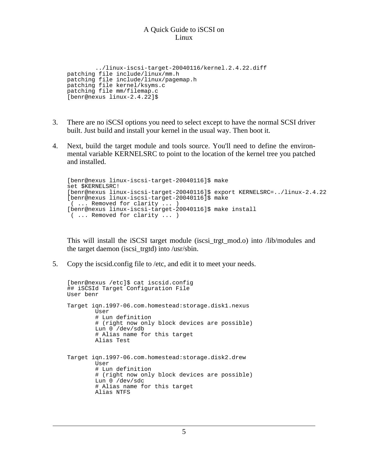```
../linux-iscsi-target-20040116/kernel.2.4.22.diff
patching file include/linux/mm.h
patching file include/linux/pagemap.h
patching file kernel/ksyms.c
patching file mm/filemap.c
[benr@nexus linux-2.4.22]$
```
- 3. There are no iSCSI options you need to select except to have the normal SCSI driver built. Just build and install your kernel in the usual way. Then boot it.
- 4. Next, build the target module and tools source. You'll need to define the environmental variable KERNELSRC to point to the location of the kernel tree you patched and installed.

```
[benr@nexus linux-iscsi-target-20040116]$ make
set $KERNELSRC!
[benr@nexus linux-iscsi-target-20040116]$ export KERNELSRC=../linux-2.4.22
[benr@nexus linux-iscsi-target-20040116]$ make
( ... Removed for clarity ... )
[benr@nexus linux-iscsi-target-20040116]$ make install
( ... Removed for clarity ... )
```
This will install the iSCSI target module (iscsi\_trgt\_mod.o) into /lib/modules and the target daemon (iscsi\_trgtd) into /usr/sbin.

5. Copy the iscsid.config file to /etc, and edit it to meet your needs.

```
[benr@nexus /etc]$ cat iscsid.config
## iSCSId Target Configuration File
User benr
Target iqn.1997-06.com.homestead:storage.disk1.nexus
        User
        # Lun definition
        # (right now only block devices are possible)
        Lun 0 /dev/sdb
        # Alias name for this target
        Alias Test
Target iqn.1997-06.com.homestead:storage.disk2.drew
        User
        # Lun definition
        # (right now only block devices are possible)
        Lun 0 /dev/sdc
        # Alias name for this target
        Alias NTFS
```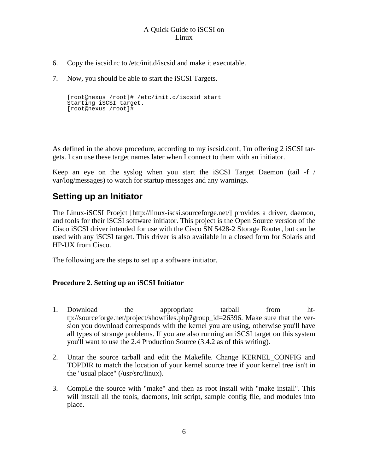- 6. Copy the iscsid.rc to /etc/init.d/iscsid and make it executable.
- 7. Now, you should be able to start the iSCSI Targets.

```
[root@nexus /root]# /etc/init.d/iscsid start
Starting iSCSI target.
[root@nexus /root]#
```
As defined in the above procedure, according to my iscsid.conf, I'm offering 2 iSCSI targets. I can use these target names later when I connect to them with an initiator.

Keep an eye on the syslog when you start the iSCSI Target Daemon (tail -f / var/log/messages) to watch for startup messages and any warnings.

### <span id="page-5-0"></span>**Setting up an Initiator**

The [Linux-iSCSI Proejct](http://linux-iscsi.sourceforge.net/) [http://linux-iscsi.sourceforge.net/] provides a driver, daemon, and tools for their iSCSI software initiator. This project is the Open Source version of the Cisco iSCSI driver intended for use with the Cisco SN 5428-2 Storage Router, but can be used with any iSCSI target. This driver is also available in a closed form for Solaris and HP-UX from Cisco.

The following are the steps to set up a software initiator.

### **Procedure 2. Setting up an iSCSI Initiator**

- 1. Download the appropriate tarball from http://sourceforge.net/project/showfiles.php?group\_id=26396. Make sure that the version you download corresponds with the kernel you are using, otherwise you'll have all types of strange problems. If you are also running an iSCSI target on this system you'll want to use the 2.4 Production Source (3.4.2 as of this writing).
- 2. Untar the source tarball and edit the Makefile. Change KERNEL\_CONFIG and TOPDIR to match the location of your kernel source tree if your kernel tree isn't in the "usual place" (/usr/src/linux).
- 3. Compile the source with "make" and then as root install with "make install". This will install all the tools, daemons, init script, sample config file, and modules into place.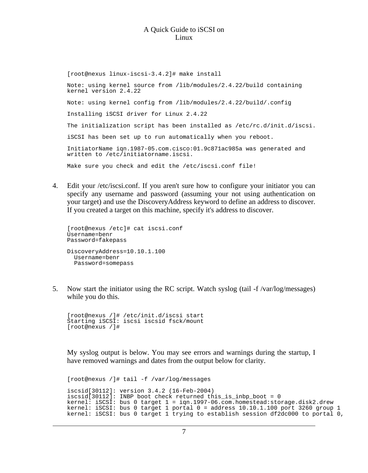[root@nexus linux-iscsi-3.4.2]# make install Note: using kernel source from /lib/modules/2.4.22/build containing kernel version 2.4.22 Note: using kernel config from /lib/modules/2.4.22/build/.config Installing iSCSI driver for Linux 2.4.22 The initialization script has been installed as /etc/rc.d/init.d/iscsi. iSCSI has been set up to run automatically when you reboot. InitiatorName iqn.1987-05.com.cisco:01.9c871ac985a was generated and written to /etc/initiatorname.iscsi. Make sure you check and edit the /etc/iscsi.conf file!

4. Edit your /etc/iscsi.conf. If you aren't sure how to configure your initiator you can specify any username and password (assuming your not using authentication on your target) and use the DiscoveryAddress keyword to define an address to discover. If you created a target on this machine, specify it's address to discover.

```
[root@nexus /etc]# cat iscsi.conf
Username=benr
Password=fakepass
DiscoveryAddress=10.10.1.100
 Username=benr
  Password=somepass
```
5. Now start the initiator using the RC script. Watch syslog (tail -f /var/log/messages) while you do this.

```
[root@nexus /]# /etc/init.d/iscsi start
Starting iSCSI: iscsi iscsid fsck/mount
[root@nexus /]#
```
My syslog output is below. You may see errors and warnings during the startup, I have removed warnings and dates from the output below for clarity.

```
[root@nexus /]# tail -f /var/log/messages
iscsid[30112]: version 3.4.2 (16-Feb-2004)
iscsid[30112]: INBP boot check returned this_is_inbp_boot = 0
kernel: iSCSI: bus 0 target 1 = iqn.1997-06.com.homestead:storage.disk2.drew
kernel: iSCSI: bus 0 target 1 portal 0 = address 10.10.1.100 port 3260 group 1
kernel: iSCSI: bus 0 target 1 trying to establish session df2dc000 to portal 0,
```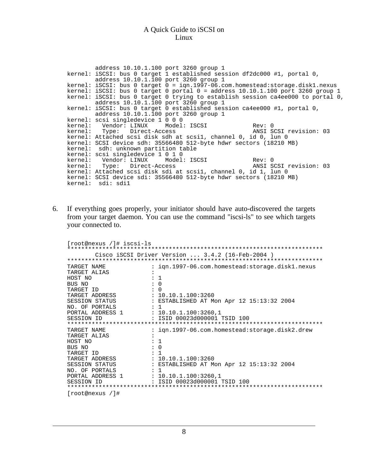| address 10.10.1.100 port 3260 group 1                              |                                                                                                                                     |                                                                                  |  |  |
|--------------------------------------------------------------------|-------------------------------------------------------------------------------------------------------------------------------------|----------------------------------------------------------------------------------|--|--|
|                                                                    | kernel: iSCSI: bus 0 target 1 established session df2dc000 #1, portal 0,                                                            |                                                                                  |  |  |
| address 10.10.1.100 port 3260 group 1                              |                                                                                                                                     |                                                                                  |  |  |
|                                                                    |                                                                                                                                     | kernel: iSCSI: bus 0 target 0 = ign.1997-06.com.homestead:storage.disk1.nexus    |  |  |
|                                                                    |                                                                                                                                     | kernel: iSCSI: bus 0 target 0 portal 0 = address $10.10.1.100$ port 3260 group 1 |  |  |
|                                                                    |                                                                                                                                     | kernel: iSCSI: bus 0 target 0 trying to establish session ca4ee000 to portal 0,  |  |  |
| address 10.10.1.100 port 3260 group 1                              |                                                                                                                                     |                                                                                  |  |  |
|                                                                    | kernel: iSCSI: bus 0 target 0 established session ca4ee000 #1, portal 0,                                                            |                                                                                  |  |  |
| address 10.10.1.100 port 3260 group 1                              |                                                                                                                                     |                                                                                  |  |  |
| kernel: scsi singledevice 1 0 0 0                                  |                                                                                                                                     |                                                                                  |  |  |
|                                                                    | kernel: Vendor: LINUX Model: ISCSI               Rev: 0<br>kernel: Type: Direct-Access                       ANSI SCSI revision: 03 |                                                                                  |  |  |
|                                                                    |                                                                                                                                     |                                                                                  |  |  |
|                                                                    | kernel: Attached scsi disk sdh at scsil, channel 0, id 0, lun 0                                                                     |                                                                                  |  |  |
| kernel: SCSI device sdh: 35566480 512-byte hdwr sectors (18210 MB) |                                                                                                                                     |                                                                                  |  |  |
| kernel: sdh: unknown partition table                               |                                                                                                                                     |                                                                                  |  |  |
| kernel: scsi singledevice 1 0 1 0                                  |                                                                                                                                     |                                                                                  |  |  |
|                                                                    |                                                                                                                                     |                                                                                  |  |  |
|                                                                    | kernel: Type: Direct-Access ANSI SCSI revision: 03                                                                                  |                                                                                  |  |  |
|                                                                    | kernel: Attached scsi disk sdi at scsil, channel 0, id 1, lun 0                                                                     |                                                                                  |  |  |
|                                                                    | kernel: SCSI device sdi: 35566480 512-byte hdwr sectors (18210 MB)                                                                  |                                                                                  |  |  |
| kernel: sdi: sdi1                                                  |                                                                                                                                     |                                                                                  |  |  |

6. If everything goes properly, your initiator should have auto-discovered the targets from your target daemon. You can use the command "iscsi-ls" to see which targets your connected to.

| [root@nexus /]# iscsi-ls                                  |                                                                                                                                  |
|-----------------------------------------------------------|----------------------------------------------------------------------------------------------------------------------------------|
|                                                           |                                                                                                                                  |
|                                                           | Cisco iSCSI Driver Version $3.4.2$ (16-Feb-2004)                                                                                 |
|                                                           |                                                                                                                                  |
| TARGET NAME                                               | : ign.1997-06.com.homestead:storage.disk1.nexus                                                                                  |
| TARGET ALIAS                                              |                                                                                                                                  |
| HOST NO                                                   | $\colon$ 1                                                                                                                       |
| BUS NO                                                    | $\colon 0$                                                                                                                       |
| $\cdot$ 0<br>TARGET ID                                    |                                                                                                                                  |
|                                                           |                                                                                                                                  |
|                                                           | TARGET ADDRESS : 10.10.1.100:3260<br>SESSION STATUS : ESTABLISHED AT Mon Apr 12 15:13:32 2004<br>NO. OF PORTALS : 1              |
|                                                           |                                                                                                                                  |
| PORTAL ADDRESS 1 : 10.10.1.100:3260,1                     |                                                                                                                                  |
| SESSION ID                                                | : ISID 00023d000001 TSID 100                                                                                                     |
| ***********************************                       |                                                                                                                                  |
| TARGET NAME                                               | : ign.1997-06.com.homestead:storage.disk2.drew                                                                                   |
| TARGET ALIAS                                              |                                                                                                                                  |
| HOST NO                                                   | : 1                                                                                                                              |
| $\begin{array}{cccc}\n\cdot & 0 \\ \end{array}$<br>BUS NO |                                                                                                                                  |
| $\cdots$ : 1<br>TARGET ID                                 |                                                                                                                                  |
|                                                           | TARGET ADDRESS                : 10.10.1.100:3260<br>SESSION STATUS                       ESTABLISHED AT Mon Apr 12 15:13:32 2004 |
|                                                           |                                                                                                                                  |
| NO. OF PORTALS : 1                                        |                                                                                                                                  |
|                                                           |                                                                                                                                  |
|                                                           |                                                                                                                                  |
|                                                           |                                                                                                                                  |
| [root@news / ]#                                           |                                                                                                                                  |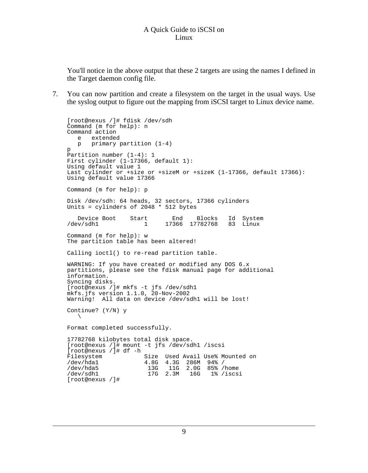You'll notice in the above output that these 2 targets are using the names I defined in the Target daemon config file.

7. You can now partition and create a filesystem on the target in the usual ways. Use the syslog output to figure out the mapping from iSCSI target to Linux device name.

```
[root@nexus /]# fdisk /dev/sdh
Command (m for help): n
Command action
   e extended
   p primary partition (1-4)
p
Partition number (1-4): 1
First cylinder (1-17366, default 1):
Using default value 1
Last cylinder or +size or +sizeM or +sizeK (1-17366, default 17366):
Using default value 17366
Command (m for help): p
Disk /dev/sdh: 64 heads, 32 sectors, 17366 cylinders
Units = cylinders of 2048 * 512 bytes
Device Boot Start End Blocks Id System<br>
1 17366 17782768 83 Linux
                                 17366 17782768 83 Linux
Command (m for help): w
The partition table has been altered!
Calling ioctl() to re-read partition table.
WARNING: If you have created or modified any DOS 6.x
partitions, please see the fdisk manual page for additional
information.
Syncing disks.
[root@nexus /]# mkfs -t jfs /dev/sdh1
mkfs.jfs version 1.1.0, 20-Nov-2002
Warning! All data on device /dev/sdh1 will be lost!
Continue? (Y/N) y
   \lambdaFormat completed successfully.
17782768 kilobytes total disk space.
[root@nexus /]# mount -t jfs /dev/sdh1 /iscsi
[root@nexus /]# df -h
Filesystem Size Used Avail Use% Mounted on
/dev/hda1 4.8G 4.3G 286M 94% /
/dev/hda5 13G 11G 2.0G 85% /home
/dev/sdh1 17G 2.3M 16G 1% /iscsi
[root@nexus /]#
```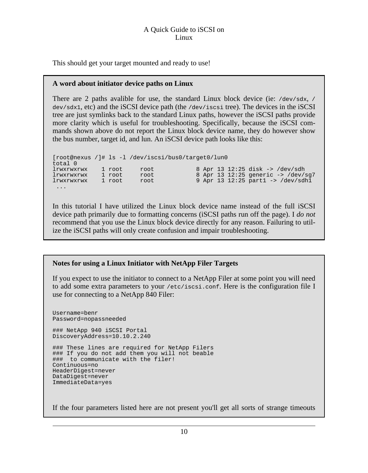This should get your target mounted and ready to use!

### **A word about initiator device paths on Linux**

There are 2 paths avalible for use, the standard Linux block device (ie:  $/$ dev/sdx, / dev/sdx1, etc) and the iSCSI device path (the /dev/iscsi tree). The devices in the iSCSI tree are just symlinks back to the standard Linux paths, however the iSCSI paths provide more clarity which is useful for troubleshooting. Specifically, because the iSCSI commands shown above do not report the Linux block device name, they do however show the bus number, target id, and lun. An iSCSI device path looks like this:

```
[root@nexus /]# ls -l /dev/iscsi/bus0/target0/lun0
total 0
lrwxrwxrwx 1 root root 8 Apr 13 12:25 disk -> /dev/sdh
lrwxrwxrwx 1 root root 8 Apr 13 12:25 generic -> /dev/sg7
lrwxrwxrwx 1 root root 9 Apr 13 12:25 part1 -> /dev/sdh1
 ...
```
In this tutorial I have utilized the Linux block device name instead of the full iSCSI device path primarily due to formatting concerns (iSCSI paths run off the page). I *do not* recommend that you use the Linux block device directly for any reason. Failuring to utilize the iSCSI paths will only create confusion and impair troubleshooting.

### **Notes for using a Linux Initiator with NetApp Filer Targets**

If you expect to use the initiator to connect to a NetApp Filer at some point you will need to add some extra parameters to your /etc/iscsi.conf. Here is the configuration file I use for connecting to a NetApp 840 Filer:

```
Username=benr
Password=nopassneeded
### NetApp 940 iSCSI Portal
DiscoveryAddress=10.10.2.240
### These lines are required for NetApp Filers
### If you do not add them you will not beable
### to communicate with the filer!
Continuous=no
HeaderDigest=never
DataDigest=never
ImmediateData=yes
```
If the four parameters listed here are not present you'll get all sorts of strange timeouts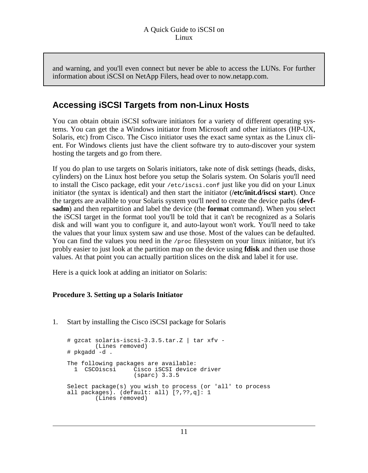and warning, and you'll even connect but never be able to access the LUNs. For further information about iSCSI on NetApp Filers, head over to now.netapp.com.

### <span id="page-10-0"></span>**Accessing iSCSI Targets from non-Linux Hosts**

You can obtain obtain iSCSI software initiators for a variety of different operating systems. You can get the a Windows initiator from Microsoft and other initiators (HP-UX, Solaris, etc) from Cisco. The Cisco initiator uses the exact same syntax as the Linux client. For Windows clients just have the client software try to auto-discover your system hosting the targets and go from there.

If you do plan to use targets on Solaris initiators, take note of disk settings (heads, disks, cylinders) on the Linux host before you setup the Solaris system. On Solaris you'll need to install the Cisco package, edit your /etc/iscsi.conf just like you did on your Linux initiator (the syntax is identical) and then start the initiator (**/etc/init.d/iscsi start**). Once the targets are avalible to your Solaris system you'll need to create the device paths (**devfsadm**) and then repartition and label the device (the **format** command). When you select the iSCSI target in the format tool you'll be told that it can't be recognized as a Solaris disk and will want you to configure it, and auto-layout won't work. You'll need to take the values that your linux system saw and use those. Most of the values can be defaulted. You can find the values you need in the  $/$ proc filesystem on your linux initiator, but it's probly easier to just look at the partition map on the device using **fdisk** and then use those values. At that point you can actually partition slices on the disk and label it for use.

Here is a quick look at adding an initiator on Solaris:

### **Procedure 3. Setting up a Solaris Initiator**

1. Start by installing the Cisco iSCSI package for Solaris

```
# gzcat solaris-iscsi-3.3.5.tar.Z | tar xfv -
       (Lines removed)
# pkgadd -d .
The following packages are available:
 1 CSCOiscsi Cisco iSCSI device driver
                  (sparc) 3.3.5
Select package(s) you wish to process (or 'all' to process
all packages). (default: all) [?,??,q]: 1
       (Lines removed)
```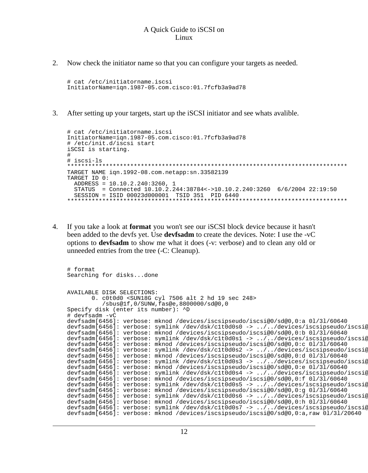2. Now check the initiator name so that you can configure your targets as needed.

# cat /etc/initiatorname.iscsi InitiatorName=iqn.1987-05.com.cisco:01.7fcfb3a9ad78

3. After setting up your targets, start up the iSCSI initiator and see whats avalible.

```
# cat /etc/initiatorname.iscsi
InitiatorName=iqn.1987-05.com.cisco:01.7fcfb3a9ad78
# /etc/init.d/iscsi start
iSCSI is starting.
#
# iscsi-ls
          ********************************************************************************
TARGET NAME iqn.1992-08.com.netapp:sn.33582139
TARGET ID 0:
 ADDRESS = 10.10.2.240:3260, 1
  STATUS = Connected 10.10.2.244:38784<->10.10.2.240:3260 6/6/2004 22:19:50
  SESSION = ISID 00023d000001 TSID 351 PID 6440
********************************************************************************
```
4. If you take a look at **format** you won't see our iSCSI block device because it hasn't been added to the devfs yet. Use **devfsadm** to create the devices. Note: I use the -vC options to **devfsadm** to show me what it does (-v: verbose) and to clean any old or unneeded entries from the tree (-C: Cleanup).

```
# format
Searching for disks...done
AVAILABLE DISK SELECTIONS:
       0. c0t0d0 <SUN18G cyl 7506 alt 2 hd 19 sec 248>
           /sbus@1f,0/SUNW,fas@e,8800000/sd@0,0
Specify disk (enter its number): ^D
# devfsadm -vC
devfsadm[6456]: verbose: mknod /devices/iscsipseudo/iscsi@0/sd@0,0:a 0l/3l/60640
devfsadm[6456]: verbose: symlink /dev/dsk/c1t0d0s0 -> ../../devices/iscsipseudo/iscsi@
devfsadm[6456]: verbose: mknod /devices/iscsipseudo/iscsi@0/sd@0,0:b 0l/3l/60640
devfsadm[6456]: verbose: symlink /dev/dsk/clt0d0s1 -> ../../devices/iscsipseudo/iscsi@
devfsadm[6456]: verbose: mknod /devices/iscsipseudo/iscsi@0/sd@0,0:c 0l/3l/60640
devfsadm[6456]: verbose: symlink /dev/dsk/c1t0d0s2 -> ../../devices/iscsipseudo/iscsi@<br>devfsadm[6456]: verbose: mknod /devices/iscsipseudo/iscsi@0/sd@0,0:d 01/31/60640
devfsadm[6456]: verbose: symlink /dev/dsk/c1t0d0s3 -> ../../devices/iscsipseudo/iscsi@
devfsadm[6456]: verbose: mknod /devices/iscsipseudo/iscsi@0/sd@0,0:e 0l/3l/60640
devfsadm[6456]: verbose: symlink /dev/dsk/c1t0d0s4 -> ../../devices/iscsipseudo/iscsi@
devfsadm[6456]: verbose: mknod /devices/iscsipseudo/iscsi@0/sd@0,0:f 0l/3l/60640
devfsadm[6456]: verbose: symlink /dev/dsk/c1t0d0s5 -> ../../devices/iscsipseudo/iscsi@<br>devfsadm[6456]: verbose: mknod /devices/iscsipseudo/iscsi@0/sd@0,0:g 01/31/60640
devfsadm[6456]: verbose: symlink /dev/dsk/c1t0d0s6 -> ../../devices/iscsipseudo/iscsi@
devfsadm[6456]: verbose: mknod /devices/iscsipseudo/iscsi@0/sd@0,0:h 0l/3l/60640
devfsadm[6456]: verbose: symlink /dev/dsk/c1t0d0s7 -> ../../devices/iscsipseudo/iscsi@
devfsadm[6456]: verbose: mknod /devices/iscsipseudo/iscsi@0/sd@0,0:a,raw 0l/3l/20640
```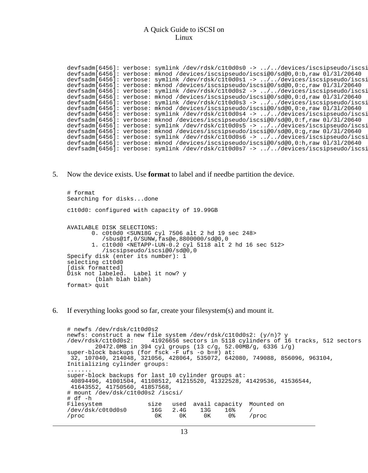devfsadm[6456]: verbose: symlink /dev/rdsk/clt0d0s0 -> ../../devices/iscsipseudo/iscsi devfsadm[6456]: verbose: mknod /devices/iscsipseudo/iscsi@0/sd@0,0:b,raw 0l/3l/20640 devfsadm[6456]: verbose: symlink /dev/rdsk/clt0d0s1 -> ../../devices/iscsipseudo/iscsi devfsadm[6456]: verbose: mknod /devices/iscsipseudo/iscsi@0/sd@0,0:c,raw 0l/3l/20640 devfsadm[6456]: verbose: symlink /dev/rdsk/clt0d0s2 -> ../../devices/iscsipseudo/iscsi devfsadm[6456]: verbose: mknod /devices/iscsipseudo/iscsi@0/sd@0,0:d,raw 0l/3l/20640 devfsadm[6456]: verbose: symlink /dev/rdsk/c1t0d0s3 -> ../../devices/iscsipseudo/iscsi<br>devfsadm[6456]: verbose: mknod /devices/iscsipseudo/iscsi@0/sd@0,0:e,raw 01/31/20640 devfsadm[6456]: verbose: symlink /dev/rdsk/clt0d0s4 -> ../../devices/iscsipseudo/iscsi devfsadm[6456]: verbose: mknod /devices/iscsipseudo/iscsi@0/sd@0,0:f,raw 0l/3l/20640 devfsadm[6456]: verbose: symlink /dev/rdsk/clt0d0s5 -> ../../devices/iscsipseudo/iscsi devfsadm[6456]: verbose: mknod /devices/iscsipseudo/iscsi@0/sd@0,0:g,raw 0l/3l/20640 devfsadm[6456]: verbose: symlink /dev/rdsk/clt0d0s6 -> ../../devices/iscsipseudo/iscsi devfsadm[6456]: verbose: mknod /devices/iscsipseudo/iscsi@0/sd@0,0:h,raw 0l/3l/20640 devfsadm[6456]: verbose: symlink /dev/rdsk/clt0d0s7 -> ../../devices/iscsipseudo/iscsi

5. Now the device exists. Use **format** to label and if needbe partition the device.

```
# format
Searching for disks...done
c1t0d0: configured with capacity of 19.99GB
AVAILABLE DISK SELECTIONS:
       0. c0t0d0 <SUN18G cyl 7506 alt 2 hd 19 sec 248>
          /sbus@1f,0/SUNW,fas@e,8800000/sd@0,0
       1. c1t0d0 <NETAPP-LUN-0.2 cyl 5118 alt 2 hd 16 sec 512>
          /iscsipseudo/iscsi@0/sd@0,0
Specify disk (enter its number): 1
selecting c1t0d0
[disk formatted]
Disk not labeled. Label it now? y
        (blah blah blah)
format> quit
```
6. If everything looks good so far, create your filesystem(s) and mount it.

```
# newfs /dev/rdsk/c1t0d0s2
newfs: construct a new file system /dev/rdsk/c1t0d0s2: (y/n)? y<br>/dev/rdsk/c1t0d0s2: 41926656 sectors in 5118 cylinders of 1
                            41926656 sectors in 5118 cylinders of 16 tracks, 512 sectors
20472.0MB in 394 cyl groups (13 c/g, 52.00MB/g, 6336 i/g)
super-block backups (for fsck -F ufs -o b=#) at:
 32, 107040, 214048, 321056, 428064, 535072, 642080, 749088, 856096, 963104,
Initializing cylinder groups:
.......
super-block backups for last 10 cylinder groups at:
 40894496, 41001504, 41108512, 41215520, 41322528, 41429536, 41536544,
41643552, 41750560, 41857568,
# mount /dev/dsk/c1t0d0s2 /iscsi/
# df -h
Filesystem size used avail capacity Mounted on<br>
/dev/dsk/c0t0d0s0 16G 2.4G 13G 16% /
/dev/dsk/c0t0d0s0 16G 2.4G 13G 16% /
/proc 0K 0K 0K 0% /proc
```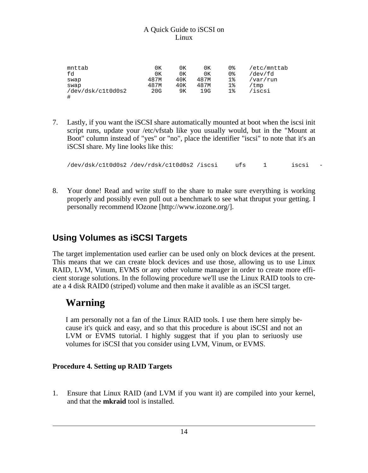| mnttab            | 0K   | 0К  | 0К   | 0 % | /etc/mnttab |
|-------------------|------|-----|------|-----|-------------|
| fd                | 0K   | 0К  | 0К   | 0%  | /dev/fd     |
| swap              | 487M | 40K | 487M | 1%  | /var/run    |
| swap              | 487M | 40K | 487M | 1%  | 'tmp        |
| /dev/dsk/c1t0d0s2 | 20G  | 9Κ  | 19G  | 1%  | /iscsi      |
| #                 |      |     |      |     |             |

7. Lastly, if you want the iSCSI share automatically mounted at boot when the iscsi init script runs, update your /etc/vfstab like you usually would, but in the "Mount at Boot" column instead of "yes" or "no", place the identifier "iscsi" to note that it's an iSCSI share. My line looks like this:

/dev/dsk/c1t0d0s2 /dev/rdsk/c1t0d0s2 /iscsi ufs 1 iscsi -

8. Your done! Read and write stuff to the share to make sure everything is working properly and possibly even pull out a benchmark to see what thruput your getting. I personally recommend [IOzone](http://www.iozone.org/) [http://www.iozone.org/].

### <span id="page-13-0"></span>**Using Volumes as iSCSI Targets**

The target implementation used earlier can be used only on block devices at the present. This means that we can create block devices and use those, allowing us to use Linux RAID, LVM, Vinum, EVMS or any other volume manager in order to create more efficient storage solutions. In the following procedure we'll use the Linux RAID tools to create a 4 disk RAID0 (striped) volume and then make it avalible as an iSCSI target.

### **Warning**

I am personally not a fan of the Linux RAID tools. I use them here simply because it's quick and easy, and so that this procedure is about iSCSI and not an LVM or EVMS tutorial. I highly suggest that if you plan to seriuosly use volumes for iSCSI that you consider using LVM, Vinum, or EVMS.

### **Procedure 4. Setting up RAID Targets**

1. Ensure that Linux RAID (and LVM if you want it) are compiled into your kernel, and that the **mkraid** tool is installed.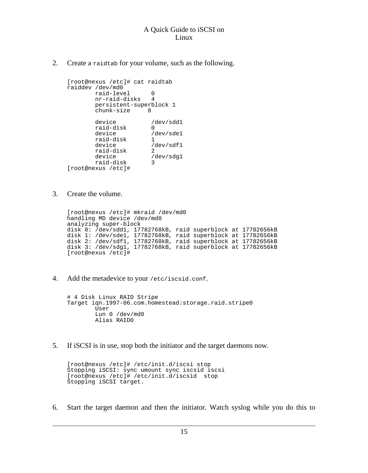2. Create a raidtab for your volume, such as the following.

[root@nexus /etc]# cat raidtab raiddev /dev/md0 raid-level 0 nr-raid-disks 4 persistent-superblock 1 chunk-size 8 device /dev/sdd1<br>raid-disk 0 raid-disk<br>device /dev/sde1<br>1 raid-disk<br>device /dev/sdf1<br>2 raid-disk<br>device /dev/sdg1<br>3 raid-disk 3 [root@nexus /etc]#

3. Create the volume.

[root@nexus /etc]# mkraid /dev/md0 handling MD device /dev/md0 analyzing super-block disk 0: /dev/sdd1, 17782768kB, raid superblock at 17782656kB disk 1: /dev/sde1, 17782768kB, raid superblock at 17782656kB disk 2: /dev/sdf1, 17782768kB, raid superblock at 17782656kB disk 3: /dev/sdg1, 17782768kB, raid superblock at 17782656kB [root@nexus /etc]#

4. Add the metadevice to your /etc/iscsid.conf.

```
# 4 Disk Linux RAID Stripe
Target iqn.1997-06.com.homestead:storage.raid.stripe0
        User
        Lun 0 /dev/md0
        Alias RAID0
```
5. If iSCSI is in use, stop both the initiator and the target daemons now.

```
[root@nexus /etc]# /etc/init.d/iscsi stop
Stopping iSCSI: sync umount sync iscsid iscsi
[root@nexus /etc]# /etc/init.d/iscsid stop
Stopping iSCSI target.
```
6. Start the target daemon and then the initiator. Watch syslog while you do this to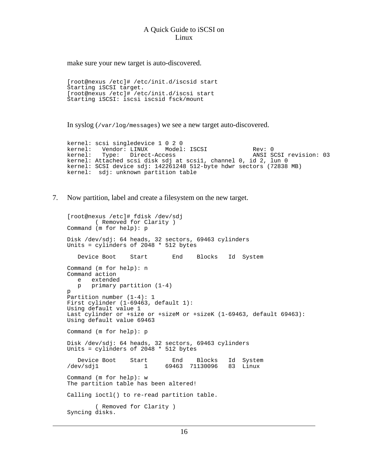make sure your new target is auto-discovered.

```
[root@nexus /etc]# /etc/init.d/iscsid start
Starting iSCSI target.
[root@nexus /etc]# /etc/init.d/iscsi start
Starting iSCSI: iscsi iscsid fsck/mount
```
In syslog (/var/log/messages) we see a new target auto-discovered.

kernel: scsi singledevice 1 0 2 0 kernel: Vendor: LINUX Model: ISCSI Rev: 0<br>
kernel: Type: Direct-Access ANSI SCSI revision: 03 kernel: Type: Direct-Access<br>kernel: Attached scsi disk sdj at scsil, channel 0, id 2, lun 0<br>kernel: SCSI device sdj: 142261248 512-byte hdwr sectors (72838 MB) kernel: sdj: unknown partition table

7. Now partition, label and create a filesystem on the new target.

```
[root@nexus /etc]# fdisk /dev/sdj
       ( Removed for Clarity )
Command (m for help): p
Disk /dev/sdj: 64 heads, 32 sectors, 69463 cylinders
Units = cylinders of 2048 * 512 bytes
   Device Boot Start End Blocks Id System
Command (m for help): n
Command action
  e extended
  p primary partition (1-4)
p
Partition number (1-4): 1
First cylinder (1-69463, default 1):
Using default value 1
Last cylinder or +size or +sizeM or +sizeK (1-69463, default 69463):
Using default value 69463
Command (m for help): p
Disk /dev/sdj: 64 heads, 32 sectors, 69463 cylinders
Units = cylinders of 2048 * 512 bytes
Device Boot Start End Blocks Id System
                            69463 71130096
Command (m for help): w
The partition table has been altered!
Calling ioctl() to re-read partition table.
        ( Removed for Clarity )
Syncing disks.
```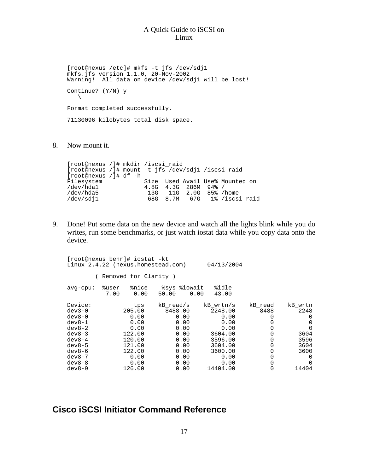[root@nexus /etc]# mkfs -t jfs /dev/sdj1 mkfs.jfs version 1.1.0, 20-Nov-2002 Warning! All data on device /dev/sdj1 will be lost! Continue? (Y/N) y  $\backslash$ Format completed successfully. 71130096 kilobytes total disk space.

8. Now mount it.

[root@nexus /]# mkdir /iscsi\_raid [root@nexus /]# mount -t jfs /dev/sdj1 /iscsi\_raid [root@nexus /]# df -h Filesystem Size Used Avail Use% Mounted on<br>
/dev/hdal 4.8G 4.3G 286M 94% / /dev/hda1 4.8G 4.3G 286M 94% / /dev/hda5 13G 11G 2.0G 85% /home /dev/sdj1 68G 8.7M 67G 1% /iscsi\_raid

9. Done! Put some data on the new device and watch all the lights blink while you do writes, run some benchmarks, or just watch iostat data while you copy data onto the device.

| [root@nexus benr]# iostat -kt<br>Linux 2.4.22 (nexus.homestead.com)                                                 |               |                                                                                       |                                                                                      |      | 04/13/2004                                                                                       |                                                                |                                                                     |
|---------------------------------------------------------------------------------------------------------------------|---------------|---------------------------------------------------------------------------------------|--------------------------------------------------------------------------------------|------|--------------------------------------------------------------------------------------------------|----------------------------------------------------------------|---------------------------------------------------------------------|
|                                                                                                                     |               | (Removed for Clarity)                                                                 |                                                                                      |      |                                                                                                  |                                                                |                                                                     |
| $avg$ -cpu:                                                                                                         | %user<br>7.00 | %nice<br>0.00                                                                         | %sys %iowait<br>50.00                                                                | 0.00 | %idle<br>43.00                                                                                   |                                                                |                                                                     |
| Device:<br>$dev3-0$<br>$dev8-0$<br>$dev8-1$<br>$dev8-2$<br>$dev8-3$<br>$dev8-4$<br>$dev8-5$<br>$dev8-6$<br>$dev8-7$ |               | tps<br>205.00<br>0.00<br>0.00<br>0.00<br>122.00<br>120.00<br>121.00<br>122.00<br>0.00 | kB read/s<br>8488.00<br>0.00<br>0.00<br>0.00<br>0.00<br>0.00<br>0.00<br>0.00<br>0.00 |      | kB wrtn/s<br>2248.00<br>0.00<br>0.00<br>0.00<br>3604.00<br>3596.00<br>3604.00<br>3600.00<br>0.00 | kB read<br>8488<br>0<br>0<br>0<br>0<br>0<br>0<br>$\Omega$<br>0 | kB wrtn<br>2248<br>0<br>0<br>0<br>3604<br>3596<br>3604<br>3600<br>0 |
| $dev8-8$<br>$dev8-9$                                                                                                |               | 0.00<br>126.00                                                                        | 0.00<br>0.00                                                                         |      | 0.00<br>14404.00                                                                                 | 0<br>0                                                         | $\Omega$<br>14404                                                   |

### <span id="page-16-0"></span>**Cisco iSCSI Initiator Command Reference**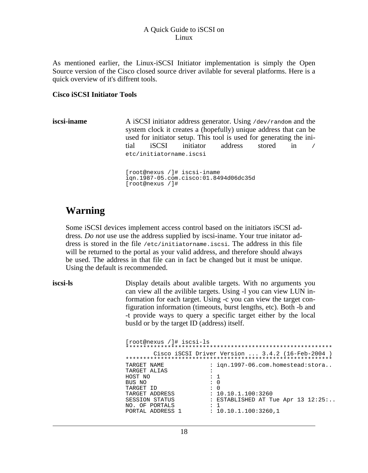As mentioned earlier, the Linux-iSCSI Initiator implementation is simply the Open Source version of the Cisco closed source driver avilable for several platforms. Here is a quick overview of it's diffrent tools.

#### **Cisco iSCSI Initiator Tools**

**iscsi-iname** A iSCSI initiator address generator. Using /dev/random and the system clock it creates a (hopefully) unique address that can be used for initiator setup. This tool is used for generating the initial iSCSI initiator address stored in / etc/initiatorname.iscsi

> [root@nexus /]# iscsi-iname iqn.1987-05.com.cisco:01.8494d06dc35d [root@nexus /]#

### **Warning**

Some iSCSI devices implement access control based on the initiators iSCSI address. *Do not* use use the address supplied by iscsi-iname. Your true initator address is stored in the file /etc/initiatorname.iscsi. The address in this file will be returned to the portal as your valid address, and therefore should always be used. The address in that file can in fact be changed but it must be unique. Using the default is recommended.

**iscsi-ls** Display details about avalible targets. With no arguments you can view all the avilible targets. Using -l you can view LUN information for each target. Using -c you can view the target configuration information (timeouts, burst lengths, etc). Both -b and -t provide ways to query a specific target either by the local busId or by the target ID (address) itself.

| [root@nexus /]# iscsi-ls      |                      |                                                  |
|-------------------------------|----------------------|--------------------------------------------------|
|                               |                      |                                                  |
| *******************<br>****** |                      | Cisco iSCSI Driver Version $3.4.2$ (16-Feb-2004) |
| TARGET NAME                   |                      | : ign.1997-06.com.homestead:stora                |
| TARGET ALIAS                  | $\ddot{\phantom{a}}$ |                                                  |
| HOST NO                       | : 1                  |                                                  |
| BUS NO                        | $\colon 0$           |                                                  |
| TARGET ID                     | $: \Omega$           |                                                  |
| TARGET ADDRESS                |                      | : 10.10.1.100:3260                               |
| <b>SESSION STATUS</b>         |                      | : ESTABLISHED AT Tue Apr $13$ $12:25:$           |
| NO. OF PORTALS                | $\mathbf{1}$         |                                                  |
| PORTAL ADDRESS 1              |                      | : 10.10.1.100:3260.1                             |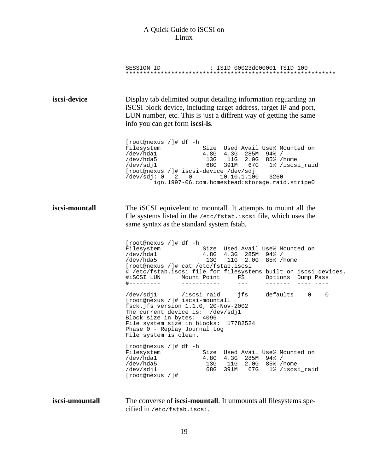|                 | : ISID 00023d000001 TSID 100<br>SESSION ID                                                                                                                                                                                                                                                                                                           |
|-----------------|------------------------------------------------------------------------------------------------------------------------------------------------------------------------------------------------------------------------------------------------------------------------------------------------------------------------------------------------------|
| iscsi-device    | Display tab delimited output detailing information reguarding an<br>iSCSI block device, including target address, target IP and port,<br>LUN number, etc. This is just a diffrent way of getting the same<br>info you can get form iscsi-ls.                                                                                                         |
|                 | [root@nexus /]# df -h<br>Size Used Avail Use% Mounted on<br>Filesystem<br>/dev/hda1<br>4.8G 4.3G 285M 94% /<br>/dev/hda5<br>13G 11G 2.0G 85% / home<br>/dev/sdj1<br>68G 391M 67G 1%/iscsi_raid<br>[root@nexus /]# iscsi-device /dev/sdj<br>/dev/sdj: 0 2 0 10.10.1.100 3260<br>ign.1997-06.com.homestead:storage.raid.stripe0                        |
| iscsi-mountall  | The iSCSI equivelent to mountall. It attempts to mount all the<br>file systems listed in the /etc/fstab.iscsi file, which uses the<br>same syntax as the standard system fstab.                                                                                                                                                                      |
|                 | [root@nexus /]# df -h<br>Size Used Avail Use% Mounted on<br>Filesystem<br>/dev/hda1<br>4.8G 4.3G 285M 94% /<br>/dev/hda5<br>13G 11G 2.0G 85% / home<br>[root@nexus /]# cat /etc/fstab.iscsi<br># /etc/fstab.iscsi file for filesystems built on iscsi devices.<br>#iSCSI LUN Mount Point FS Options Dump Pass<br>#---------<br>------------<br>$  -$ |
|                 | jfs<br>defaults 0<br>0<br>/dev/sdj1 /iscsi_raid<br>[root@nexus /]# iscsi-mountall<br>fsck.jfs version 1.1.0, 20-Nov-2002<br>The current device is: /dev/sdj1<br>Block size in bytes: 4096<br>File system size in blocks: 17782524<br>Phase 0 - Replay Journal Log<br>File system is clean.                                                           |
|                 | [root@nexus /]# df -h<br>Filesystem<br>Size Used Avail Use% Mounted on<br>/dev/hda1<br>4.8G 4.3G 285M 94% /<br>/dev/hda5<br>13G 11G 2.0G 85% / home<br>68G 391M 67G 1%/iscsi_raid<br>/dev/sdj1<br>[root@nexus /]#                                                                                                                                    |
| iscsi-umountall | The converse of <b>iscsi-mountall</b> . It unmounts all filesystems spe-<br>cified in /etc/fstab.iscsi.                                                                                                                                                                                                                                              |